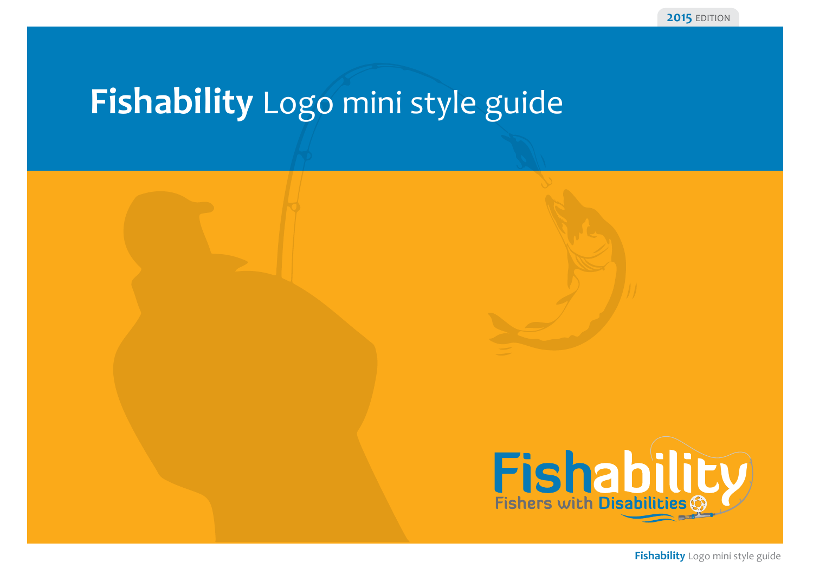## **Fishability** Logo mini style guide



**Fishability** Logo mini style guide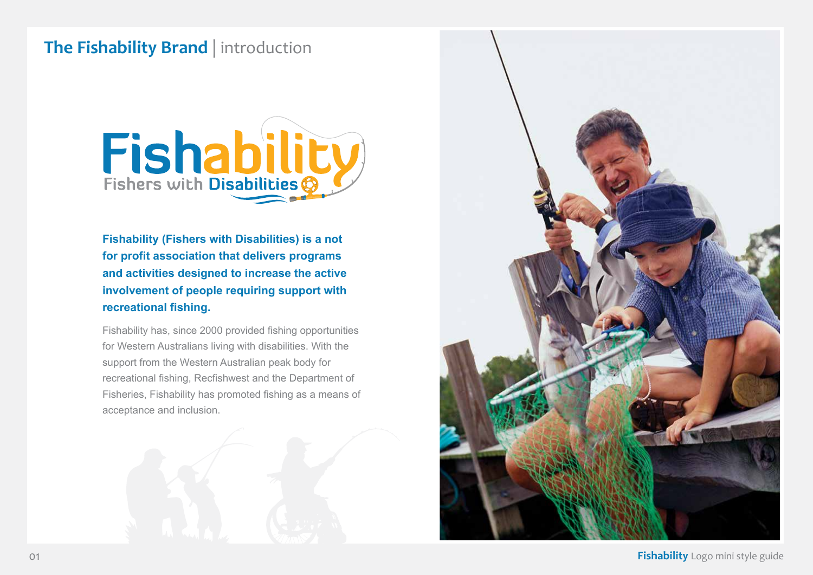#### **The Fishability Brand** | introduction



**Fishability (Fishers with Disabilities) is a not for profit association that delivers programs and activities designed to increase the active involvement of people requiring support with recreational fishing.**

Fishability has, since 2000 provided fishing opportunities for Western Australians living with disabilities. With the support from the Western Australian peak body for recreational fishing, Recfishwest and the Department of Fisheries, Fishability has promoted fishing as a means of acceptance and inclusion.



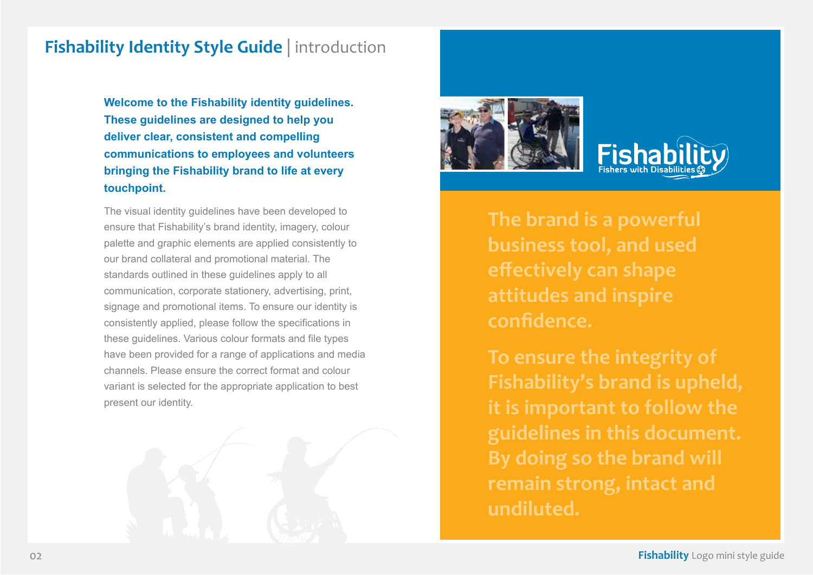#### **Fishability Identity Style Guide** | introduction

**Welcome to the Fishability identity guidelines. These guidelines are designed to help you deliver clear, consistent and compelling communications to employees and volunteers bringing the Fishability brand to life at every touchpoint.**

The visual identity guidelines have been developed to ensure that Fishability's brand identity, imagery, colour palette and graphic elements are applied consistently to our brand collateral and promotional material. The standards outlined in these guidelines apply to all communication, corporate stationery, advertising, print, signage and promotional items. To ensure our identity is consistently applied, please follow the specifications in these guidelines. Various colour formats and file types have been provided for a range of applications and media channels. Please ensure the correct format and colour variant is selected for the appropriate application to best present our identity.





# **Fishers with Disabiliti**

**The brand is a powerful business tool, and used effectively can shape attitudes and inspire confidence.**

**To ensure the integrity of Fishability's brand is upheld, it is important to follow the guidelines in this document. By doing so the brand will remain strong, intact and undiluted.**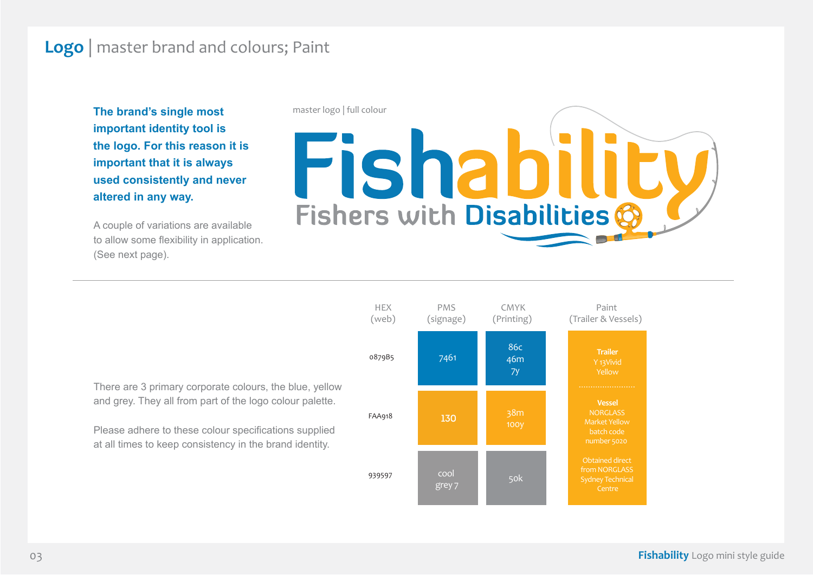#### **Logo** | master brand and colours; Paint

**The brand's single most important identity tool is the logo. For this reason it is important that it is always used consistently and never altered in any way.**

A couple of variations are available to allow some flexibility in application. (See next page).

master logo | full colour

Fishabilit Fishers with Disabilities



Please adhere to these colour specifications supplied at all times to keep consistency in the brand identity.

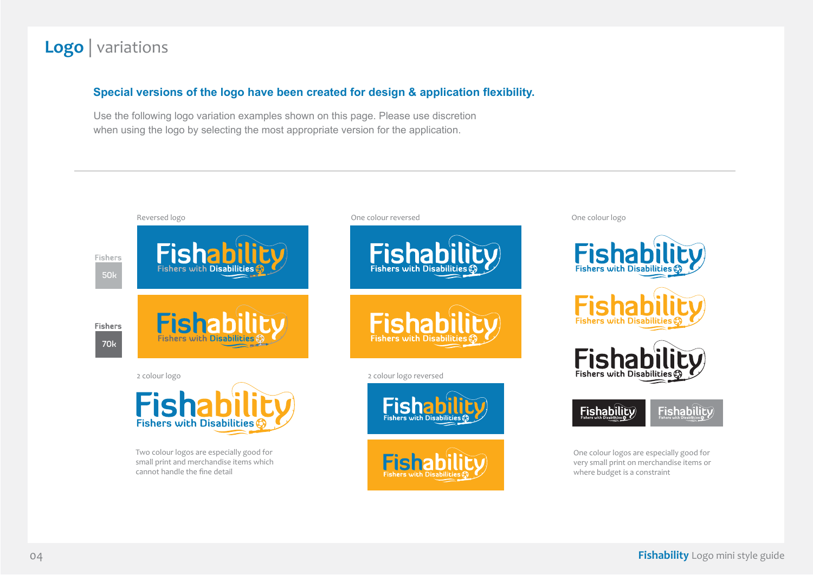#### **Logo** | variations

#### **Special versions of the logo have been created for design & application flexibility.**

Use the following logo variation examples shown on this page. Please use discretion when using the logo by selecting the most appropriate version for the application.

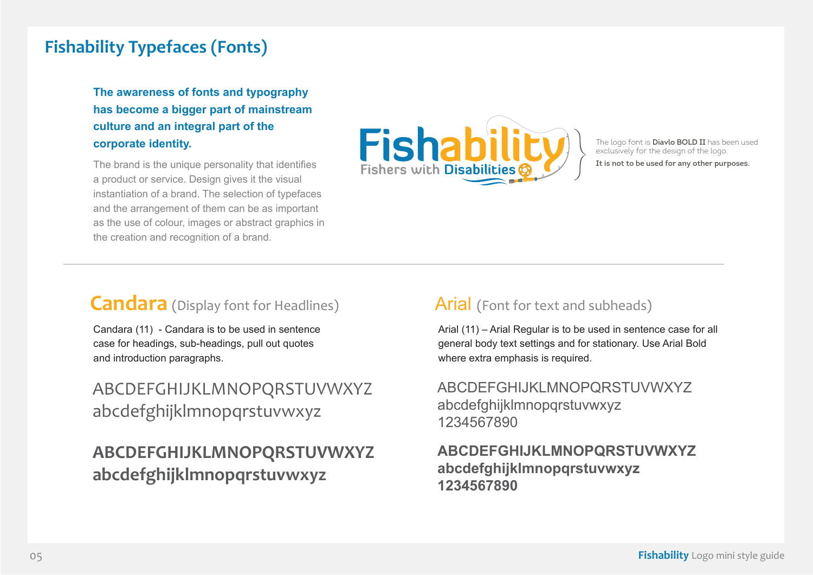#### **Fishability Typefaces (Fonts)**

**The awareness of fonts and typography has become a bigger part of mainstream culture and an integral part of the corporate identity.**

The brand is the unique personality that identifies a product or service. Design gives it the visual instantiation of a brand. The selection of typefaces and the arrangement of them can be as important as the use of colour, images or abstract graphics in the creation and recognition of a brand.



The logo font is **Diavlo BOLD II** has been used The logo font is **Diavlo BOLD II** has been us<br>exclusively for the design of the logo.<br>**It is not to be used for any other purposes.** 

#### **Candara** (Display font for Headlines)

Candara (11) - Candara is to be used in sentence case for headings, sub-headings, pull out quotes and introduction paragraphs.

### ABCDEFGHIJKLMNOPQRSTUVWXYZ abcdefghijklmnopqrstuvwxyz

## **ABCDEFGHIJKLMNOPQRSTUVWXYZ abcdefghijklmnopqrstuvwxyz**

#### Arial (Font for text and subheads)

Arial (11) – Arial Regular is to be used in sentence case for all general body text settings and for stationary. Use Arial Bold where extra emphasis is required.

ABCDEFGHIJKLMNOPQRSTUVWXYZ abcdefghijklmnopqrstuvwxyz 1234567890

#### **ABCDEFGHIJKLMNOPQRSTUVWXYZ abcdefghijklmnopqrstuvwxyz 1234567890**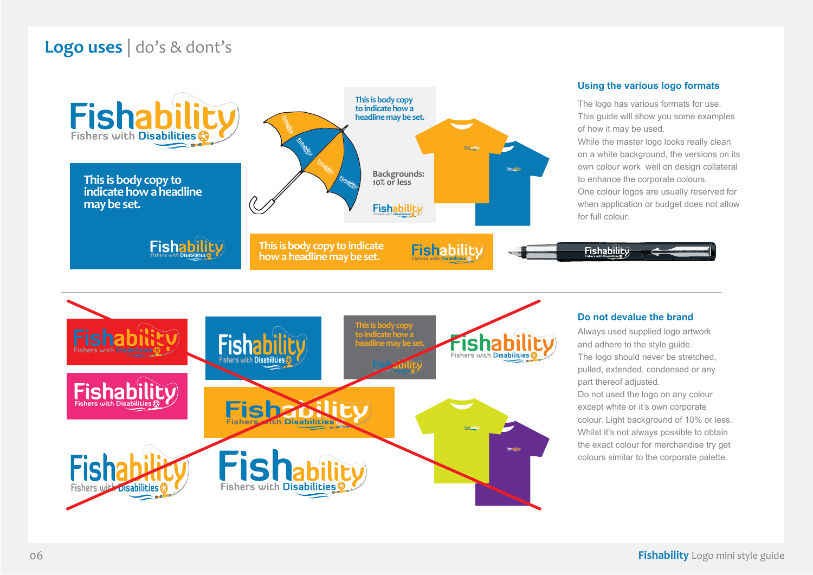## **Logo uses** | do's & dont's



#### **Using the various logo formats**

The logo has various formats for use. This guide will show you some examples of how it may be used.

While the master logo looks really clean on a white background, the versions on its own colour work well on design collateral to enhance the corporate colours. One colour logos are usually reserved for when application or budget does not allow for full colour.



#### **Do not devalue the brand**

**Fishability** 

Always used supplied logo artwork and adhere to the style guide. The logo should never be stretched, pulled, extended, condensed or any part thereof adjusted. Do not used the logo on any colour except white or it's own corporate colour. Light background of 10% or less. Whilst it's not always possible to obtain the exact colour for merchandise try get colours similar to the corporate palette.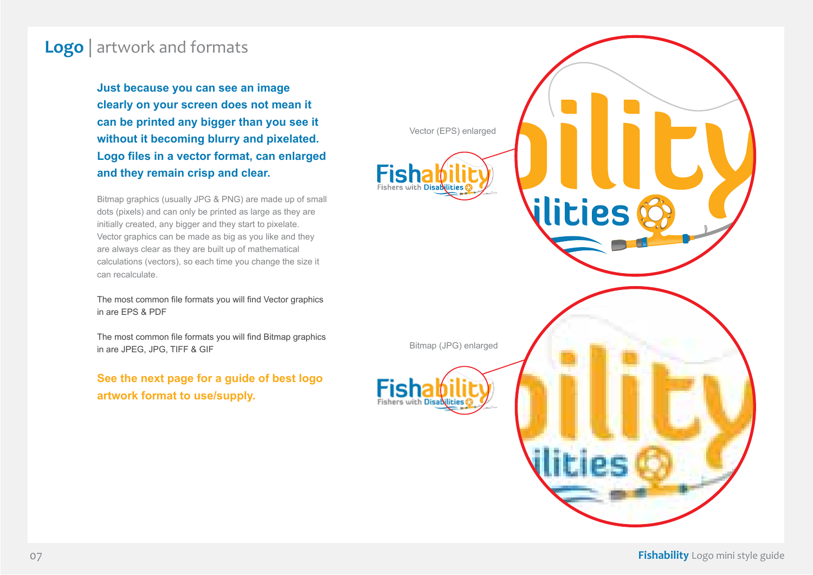#### **Logo** | artwork and formats

**Just because you can see an image clearly on your screen does not mean it can be printed any bigger than you see it without it becoming blurry and pixelated. Logo files in a vector format, can enlarged and they remain crisp and clear.**

Bitmap graphics (usually JPG & PNG) are made up of small dots (pixels) and can only be printed as large as they are initially created, any bigger and they start to pixelate. Vector graphics can be made as big as you like and they are always clear as they are built up of mathematical calculations (vectors), so each time you change the size it can recalculate.

The most common file formats you will find Vector graphics in are EPS & PDF

The most common file formats you will find Bitmap graphics in are JPEG, JPG, TIFF & GIF

**See the next page for a guide of best logo artwork format to use/supply.**